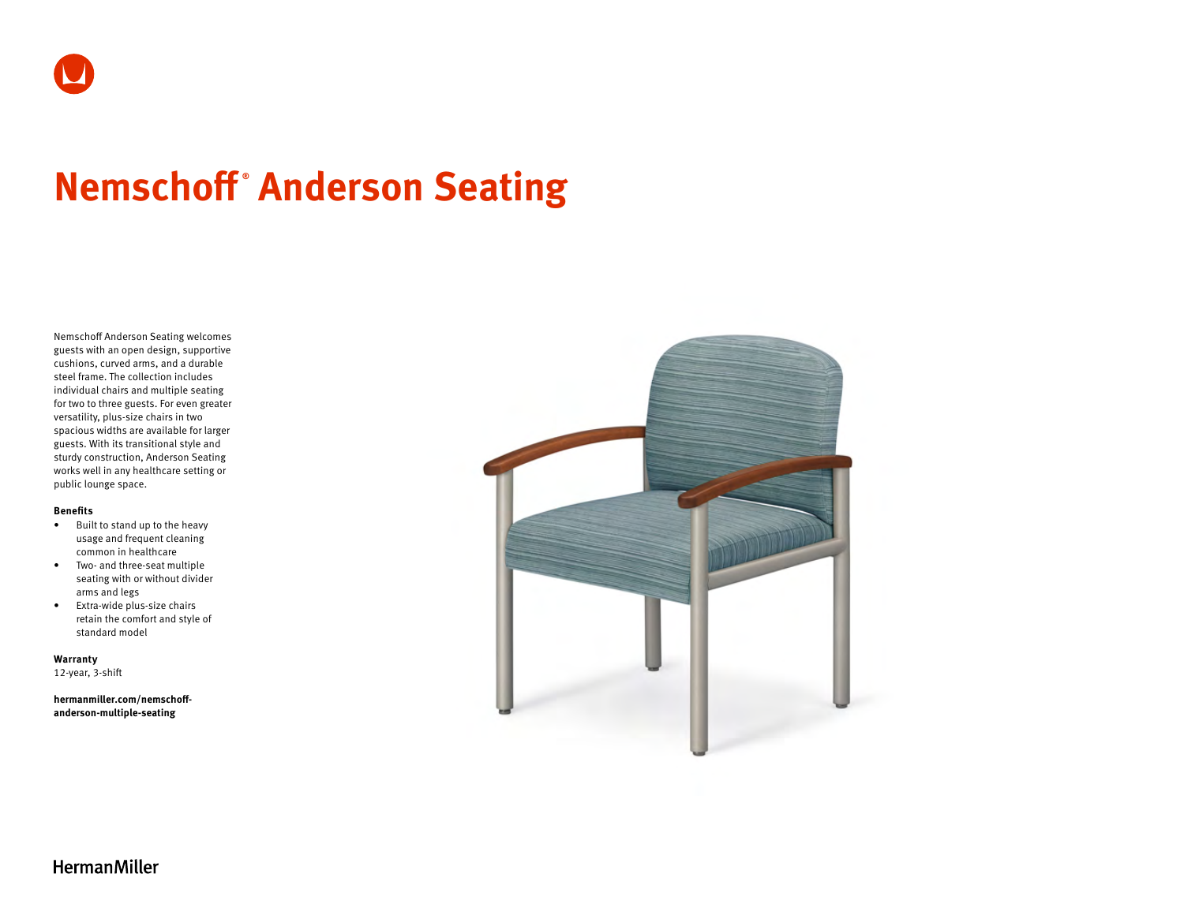# **Nemschoff ® Anderson Seating**

Nemschoff Anderson Seating welcomes guests with an open design, supportive cushions, curved arms, and a durable steel frame. The collection includes individual chairs and multiple seating for two to three guests. For even greater versatility, plus-size chairs in two spacious widths are available for larger guests. With its transitional style and sturdy construction, Anderson Seating works well in any healthcare setting or public lounge space.

#### **Benefits**

- Built to stand up to the heavy usage and frequent cleaning common in healthcare
- Two- and three-seat multiple seating with or without divider arms and legs
- Extra-wide plus-size chairs retain the comfort and style of standard model

**Warranty**  12-year, 3-shift

**[hermanmiller.com/nemschoff](http://hermanmiller.com/nemschoff-anderson-multiple-seating)[anderson-multiple-seating](http://hermanmiller.com/nemschoff-anderson-multiple-seating)**